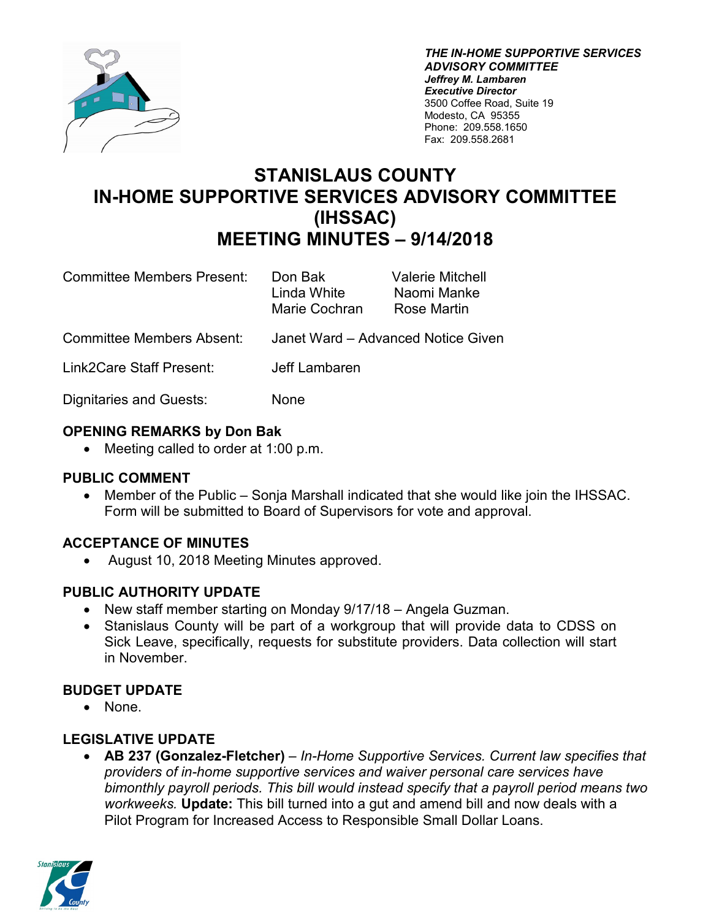

*THE IN-HOME SUPPORTIVE SERVICES ADVISORY COMMITTEE Jeffrey M. Lambaren Executive Director* 3500 Coffee Road, Suite 19 Modesto, CA 95355 Phone: 209.558.1650 Fax: 209.558.2681

# **STANISLAUS COUNTY IN-HOME SUPPORTIVE SERVICES ADVISORY COMMITTEE (IHSSAC) MEETING MINUTES – 9/14/2018**

Committee Members Present: Don Bak Valerie Mitchell Linda White Naomi Manke Marie Cochran Rose Martin

Committee Members Absent: Janet Ward – Advanced Notice Given

Link2Care Staff Present: Jeff Lambaren

Dignitaries and Guests: None

#### **OPENING REMARKS by Don Bak**

• Meeting called to order at 1:00 p.m.

#### **PUBLIC COMMENT**

• Member of the Public – Sonja Marshall indicated that she would like join the IHSSAC. Form will be submitted to Board of Supervisors for vote and approval.

## **ACCEPTANCE OF MINUTES**

• August 10, 2018 Meeting Minutes approved.

#### **PUBLIC AUTHORITY UPDATE**

- New staff member starting on Monday 9/17/18 Angela Guzman.
- Stanislaus County will be part of a workgroup that will provide data to CDSS on Sick Leave, specifically, requests for substitute providers. Data collection will start in November.

#### **BUDGET UPDATE**

• None.

#### **LEGISLATIVE UPDATE**

• **AB 237 (Gonzalez-Fletcher)** – *In-Home Supportive Services. Current law specifies that providers of in-home supportive services and waiver personal care services have bimonthly payroll periods. This bill would instead specify that a payroll period means two workweeks.* **Update:** This bill turned into a gut and amend bill and now deals with a Pilot Program for Increased Access to Responsible Small Dollar Loans.

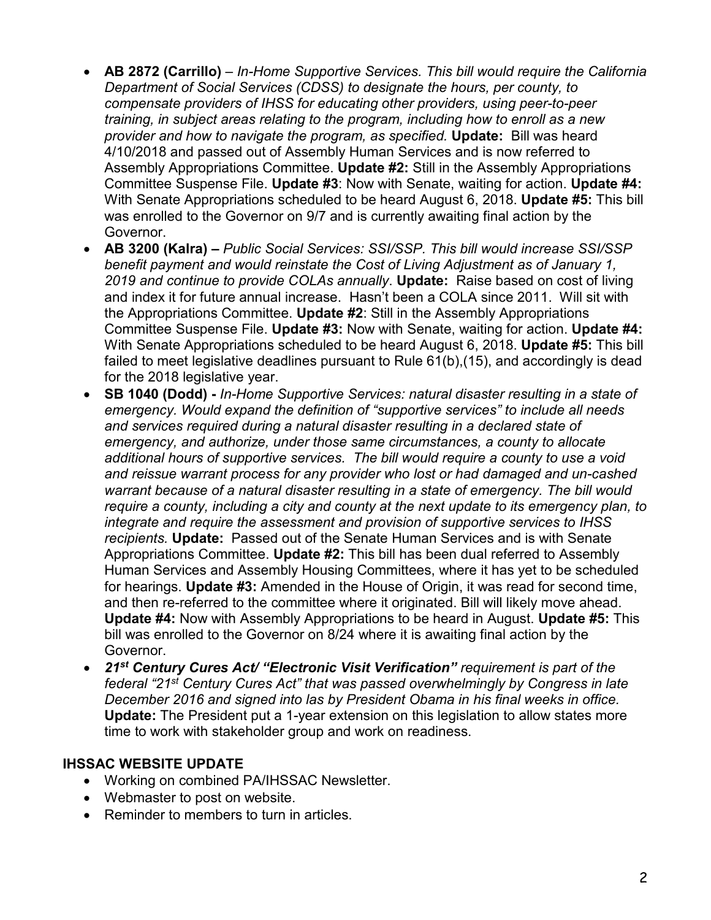- **AB 2872 (Carrillo)** *In-Home Supportive Services. This bill would require the California Department of Social Services (CDSS) to designate the hours, per county, to compensate providers of IHSS for educating other providers, using peer-to-peer training, in subject areas relating to the program, including how to enroll as a new provider and how to navigate the program, as specified.* **Update:** Bill was heard 4/10/2018 and passed out of Assembly Human Services and is now referred to Assembly Appropriations Committee. **Update #2:** Still in the Assembly Appropriations Committee Suspense File. **Update #3**: Now with Senate, waiting for action. **Update #4:** With Senate Appropriations scheduled to be heard August 6, 2018. **Update #5:** This bill was enrolled to the Governor on 9/7 and is currently awaiting final action by the Governor.
- **AB 3200 (Kalra) –** *Public Social Services: SSI/SSP. This bill would increase SSI/SSP benefit payment and would reinstate the Cost of Living Adjustment as of January 1, 2019 and continue to provide COLAs annually*. **Update:** Raise based on cost of living and index it for future annual increase. Hasn't been a COLA since 2011. Will sit with the Appropriations Committee. **Update #2**: Still in the Assembly Appropriations Committee Suspense File. **Update #3:** Now with Senate, waiting for action. **Update #4:** With Senate Appropriations scheduled to be heard August 6, 2018. **Update #5:** This bill failed to meet legislative deadlines pursuant to Rule 61(b),(15), and accordingly is dead for the 2018 legislative year.
- **SB 1040 (Dodd) -** *In-Home Supportive Services: natural disaster resulting in a state of emergency. Would expand the definition of "supportive services" to include all needs and services required during a natural disaster resulting in a declared state of emergency, and authorize, under those same circumstances, a county to allocate additional hours of supportive services. The bill would require a county to use a void and reissue warrant process for any provider who lost or had damaged and un-cashed warrant because of a natural disaster resulting in a state of emergency. The bill would require a county, including a city and county at the next update to its emergency plan, to integrate and require the assessment and provision of supportive services to IHSS recipients.* **Update:** Passed out of the Senate Human Services and is with Senate Appropriations Committee. **Update #2:** This bill has been dual referred to Assembly Human Services and Assembly Housing Committees, where it has yet to be scheduled for hearings. **Update #3:** Amended in the House of Origin, it was read for second time, and then re-referred to the committee where it originated. Bill will likely move ahead. **Update #4:** Now with Assembly Appropriations to be heard in August. **Update #5:** This bill was enrolled to the Governor on 8/24 where it is awaiting final action by the Governor.
- *21st Century Cures Act/ "Electronic Visit Verification" requirement is part of the federal "21st Century Cures Act" that was passed overwhelmingly by Congress in late December 2016 and signed into las by President Obama in his final weeks in office.*  **Update:** The President put a 1-year extension on this legislation to allow states more time to work with stakeholder group and work on readiness.

#### **IHSSAC WEBSITE UPDATE**

- Working on combined PA/IHSSAC Newsletter.
- Webmaster to post on website.
- Reminder to members to turn in articles.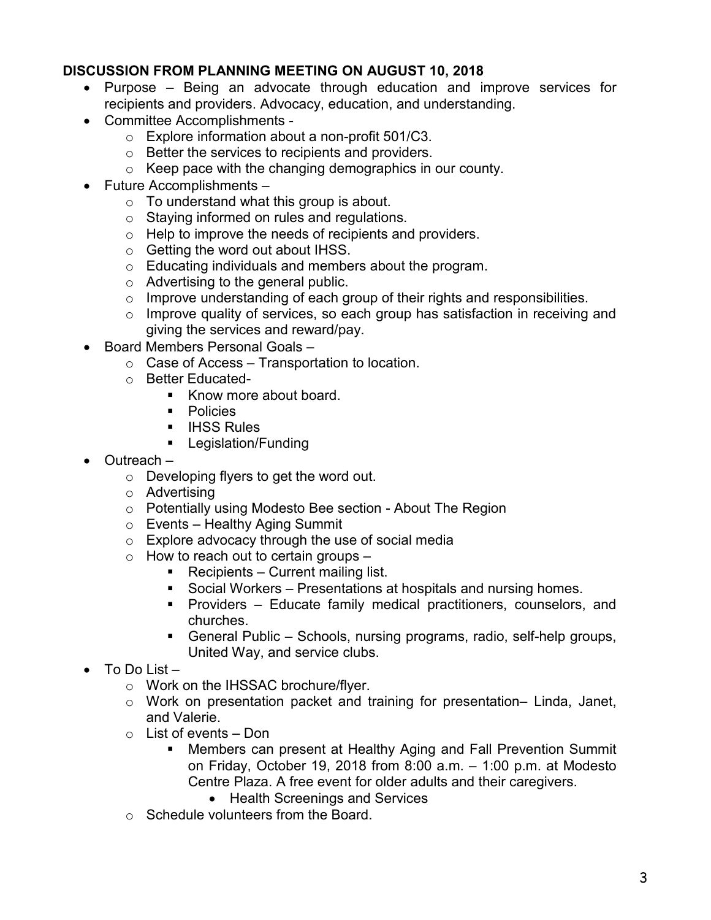#### **DISCUSSION FROM PLANNING MEETING ON AUGUST 10, 2018**

- Purpose Being an advocate through education and improve services for recipients and providers. Advocacy, education, and understanding.
- Committee Accomplishments
	- o Explore information about a non-profit 501/C3.
	- o Better the services to recipients and providers.
	- o Keep pace with the changing demographics in our county.
- Future Accomplishments
	- $\circ$  To understand what this group is about.
	- o Staying informed on rules and regulations.
	- o Help to improve the needs of recipients and providers.
	- o Getting the word out about IHSS.
	- o Educating individuals and members about the program.
	- o Advertising to the general public.
	- $\circ$  Improve understanding of each group of their rights and responsibilities.
	- o Improve quality of services, so each group has satisfaction in receiving and giving the services and reward/pay.
- Board Members Personal Goals
	- $\circ$  Case of Access Transportation to location.
	- o Better Educated-
		- Know more about board.
		- **Policies**
		- **IHSS Rules**
		- **Legislation/Funding**
- Outreach
	- o Developing flyers to get the word out.
	- o Advertising
	- o Potentially using Modesto Bee section About The Region
	- $\circ$  Events Healthy Aging Summit
	- $\circ$  Explore advocacy through the use of social media
	- $\circ$  How to reach out to certain groups
		- Recipients Current mailing list.
		- **Social Workers Presentations at hospitals and nursing homes.**
		- Providers Educate family medical practitioners, counselors, and churches.
		- General Public Schools, nursing programs, radio, self-help groups, United Way, and service clubs.
- $\bullet$  To Do List
	- o Work on the IHSSAC brochure/flyer.
	- o Work on presentation packet and training for presentation– Linda, Janet, and Valerie.
	- o List of events Don
		- Members can present at Healthy Aging and Fall Prevention Summit on Friday, October 19, 2018 from 8:00 a.m. – 1:00 p.m. at Modesto Centre Plaza. A free event for older adults and their caregivers.
			- Health Screenings and Services
	- o Schedule volunteers from the Board.